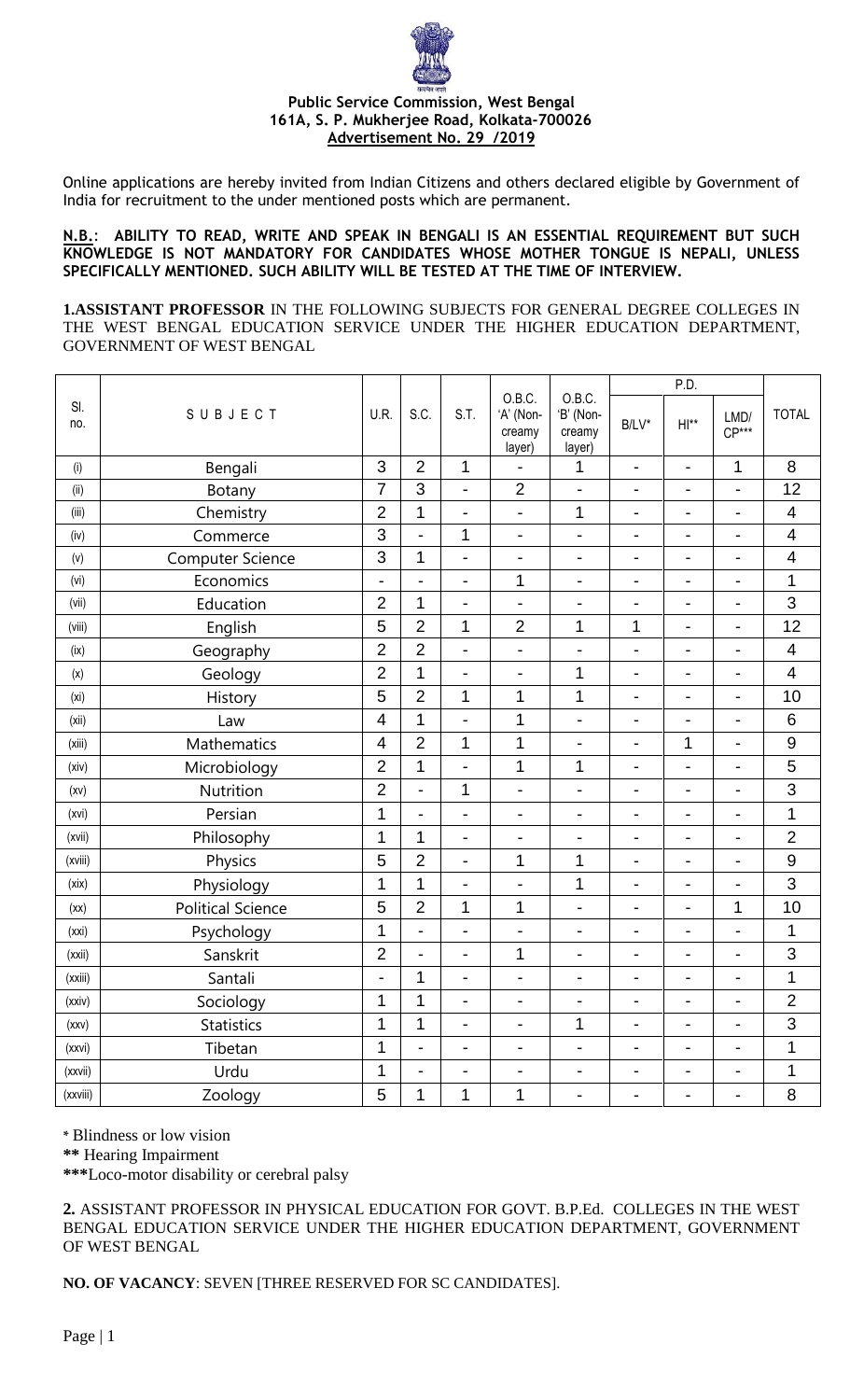

Online applications are hereby invited from Indian Citizens and others declared eligible by Government of India for recruitment to the under mentioned posts which are permanent.

## **N.B.**: **ABILITY TO READ, WRITE AND SPEAK IN BENGALI IS AN ESSENTIAL REQUIREMENT BUT SUCH KNOWLEDGE IS NOT MANDATORY FOR CANDIDATES WHOSE MOTHER TONGUE IS NEPALI, UNLESS SPECIFICALLY MENTIONED. SUCH ABILITY WILL BE TESTED AT THE TIME OF INTERVIEW.**

**1.ASSISTANT PROFESSOR** IN THE FOLLOWING SUBJECTS FOR GENERAL DEGREE COLLEGES IN THE WEST BENGAL EDUCATION SERVICE UNDER THE HIGHER EDUCATION DEPARTMENT, GOVERNMENT OF WEST BENGAL

|              |                          |                          |                          | P.D.                         |                                         |                                         |                              |                              |                              |                          |
|--------------|--------------------------|--------------------------|--------------------------|------------------------------|-----------------------------------------|-----------------------------------------|------------------------------|------------------------------|------------------------------|--------------------------|
| SI.<br>no.   | SUBJECT                  | U.R.                     | S.C.                     | S.T.                         | O.B.C.<br>'A' (Non-<br>creamy<br>layer) | O.B.C.<br>'B' (Non-<br>creamy<br>layer) | $B/LV^*$                     | $H **$                       | LMD/<br>$CP***$              | <b>TOTAL</b>             |
| (i)          | Bengali                  | 3                        | $\overline{2}$           | 1                            | $\overline{\phantom{0}}$                | 1                                       | $\overline{\phantom{a}}$     | $\overline{\phantom{a}}$     | $\mathbf{1}$                 | 8                        |
| $(\sf{iii})$ | Botany                   | 7                        | 3                        | $\overline{\phantom{0}}$     | $\overline{2}$                          | $\qquad \qquad \blacksquare$            | $\blacksquare$               | $\qquad \qquad \blacksquare$ | $\qquad \qquad \blacksquare$ | 12                       |
| (iii)        | Chemistry                | $\overline{2}$           | 1                        | $\overline{\phantom{0}}$     | $\overline{\phantom{0}}$                | 1                                       | $\overline{\phantom{a}}$     | $\overline{\phantom{a}}$     | -                            | $\overline{4}$           |
| (iv)         | Commerce                 | 3                        | Ĭ.                       | 1                            | $\overline{a}$                          | $\overline{a}$                          | $\overline{\phantom{a}}$     | $\blacksquare$               | $\blacksquare$               | $\overline{\mathbf{4}}$  |
| (v)          | <b>Computer Science</b>  | 3                        | 1                        | $\overline{\phantom{0}}$     | $\overline{\phantom{0}}$                | $\qquad \qquad \blacksquare$            | $\overline{\phantom{0}}$     | $\overline{\phantom{a}}$     | $\overline{\phantom{a}}$     | $\overline{\mathbf{4}}$  |
| (vi)         | Economics                | $\overline{\phantom{0}}$ | Ĭ.                       | $\overline{\phantom{0}}$     | 1                                       | $\qquad \qquad \blacksquare$            | $\overline{\phantom{0}}$     | $\overline{\phantom{a}}$     | $\overline{a}$               | 1                        |
| (vii)        | Education                | $\overline{2}$           | 1                        | -                            | $\overline{\phantom{0}}$                | $\overline{a}$                          | $\overline{\phantom{a}}$     | $\overline{\phantom{a}}$     | -                            | 3                        |
| (viii)       | English                  | 5                        | $\overline{2}$           | 1                            | $\overline{2}$                          | 1                                       | 1                            | $\qquad \qquad \blacksquare$ | $\blacksquare$               | 12                       |
| (ix)         | Geography                | $\overline{2}$           | $\overline{2}$           | $\overline{\phantom{0}}$     | $\overline{\phantom{0}}$                | $\overline{a}$                          | $\blacksquare$               | $\overline{\phantom{a}}$     | $\qquad \qquad \blacksquare$ | $\overline{4}$           |
| (x)          | Geology                  | $\overline{2}$           | 1                        | $\overline{\phantom{0}}$     | $\overline{\phantom{0}}$                | 1                                       | $\blacksquare$               | $\blacksquare$               | $\overline{\phantom{a}}$     | $\overline{\mathcal{A}}$ |
| (xi)         | History                  | 5                        | $\overline{2}$           | 1                            | 1                                       | 1                                       | $\overline{\phantom{0}}$     | $\overline{\phantom{a}}$     | $\blacksquare$               | 10                       |
| (xii)        | Law                      | $\overline{\mathcal{A}}$ | 1                        | $\overline{\phantom{0}}$     | 1                                       | $\overline{a}$                          | $\overline{a}$               | $\overline{\phantom{a}}$     | $\blacksquare$               | 6                        |
| (xiii)       | Mathematics              | 4                        | $\overline{2}$           | 1                            | 1                                       | $\blacksquare$                          | $\blacksquare$               | 1                            | $\blacksquare$               | $\overline{9}$           |
| (xiv)        | Microbiology             | $\overline{2}$           | 1                        | $\overline{\phantom{0}}$     | 1                                       | $\mathbf 1$                             | $\overline{\phantom{a}}$     | $\overline{\phantom{0}}$     | $\blacksquare$               | 5                        |
| (xv)         | Nutrition                | $\overline{2}$           | $\overline{a}$           | 1                            | $\overline{\phantom{0}}$                | $\overline{\phantom{0}}$                | $\overline{\phantom{0}}$     | $\overline{\phantom{a}}$     | $\overline{\phantom{a}}$     | 3                        |
| (xvi)        | Persian                  | 1                        | $\overline{a}$           | $\overline{\phantom{0}}$     | $\overline{\phantom{0}}$                | $\qquad \qquad \blacksquare$            | $\overline{\phantom{0}}$     | $\qquad \qquad \blacksquare$ | $\blacksquare$               | 1                        |
| (xvii)       | Philosophy               | 1                        | 1                        | Ξ.                           | $\overline{a}$                          | $\overline{a}$                          | $\overline{a}$               | $\overline{\phantom{a}}$     | $\blacksquare$               | $\overline{2}$           |
| (xviii)      | Physics                  | 5                        | $\overline{2}$           | $\overline{\phantom{0}}$     | 1                                       | 1                                       | $\blacksquare$               | $\blacksquare$               | $\blacksquare$               | 9                        |
| (xix)        | Physiology               | 1                        | 1                        | $\overline{\phantom{0}}$     | $\overline{\phantom{0}}$                | 1                                       | $\overline{\phantom{0}}$     | $\overline{\phantom{a}}$     | -                            | 3                        |
| (xx)         | <b>Political Science</b> | 5                        | $\overline{2}$           | 1                            | 1                                       | $\qquad \qquad \blacksquare$            | $\blacksquare$               | $\overline{\phantom{a}}$     | 1                            | 10                       |
| (xxi)        | Psychology               | 1                        | $\overline{a}$           | $\qquad \qquad \blacksquare$ | $\overline{\phantom{0}}$                | $\qquad \qquad \blacksquare$            | $\overline{\phantom{0}}$     | $\qquad \qquad \blacksquare$ | $\overline{a}$               | 1                        |
| (xxii)       | Sanskrit                 | $\overline{2}$           | $\overline{a}$           | Ξ.                           | 1                                       | $\overline{a}$                          | $\overline{\phantom{a}}$     | $\overline{\phantom{a}}$     | $\blacksquare$               | 3                        |
| (xxiii)      | Santali                  | -                        | 1                        |                              | $\blacksquare$                          | $\qquad \qquad \blacksquare$            |                              |                              |                              | $\mathbf 1$              |
| (xxiv)       | Sociology                | 1                        | 1                        | $\blacksquare$               | -                                       | ÷                                       | $\qquad \qquad \blacksquare$ | $\overline{a}$               | $\overline{\phantom{0}}$     | $\mathbf{2}$             |
| (xxv)        | Statistics               | 1                        | 1                        | $\overline{\phantom{0}}$     | $\overline{\phantom{0}}$                | 1                                       | $\overline{\phantom{0}}$     | $\overline{\phantom{a}}$     | $\overline{\phantom{0}}$     | 3                        |
| (xxvi)       | Tibetan                  | 1                        | $\overline{a}$           | $\overline{\phantom{0}}$     | -                                       | $\qquad \qquad \blacksquare$            | $\blacksquare$               | $\overline{\phantom{a}}$     | $\qquad \qquad \blacksquare$ | 1                        |
| (xxvii)      | Urdu                     | 1                        | $\overline{\phantom{0}}$ | $\overline{\phantom{0}}$     | -                                       | $\overline{\phantom{0}}$                | $\overline{\phantom{a}}$     | $\blacksquare$               | $\overline{a}$               | 1                        |
| (xxviii)     | Zoology                  | 5                        | 1                        | 1                            | 1                                       | -                                       | $\overline{\phantom{0}}$     | ۰                            | -                            | 8                        |

**\*** Blindness or low vision

**\*\*** Hearing Impairment

**\*\*\***Loco-motor disability or cerebral palsy

**2.** ASSISTANT PROFESSOR IN PHYSICAL EDUCATION FOR GOVT. B.P.Ed. COLLEGES IN THE WEST BENGAL EDUCATION SERVICE UNDER THE HIGHER EDUCATION DEPARTMENT, GOVERNMENT OF WEST BENGAL

**NO. OF VACANCY**: SEVEN [THREE RESERVED FOR SC CANDIDATES].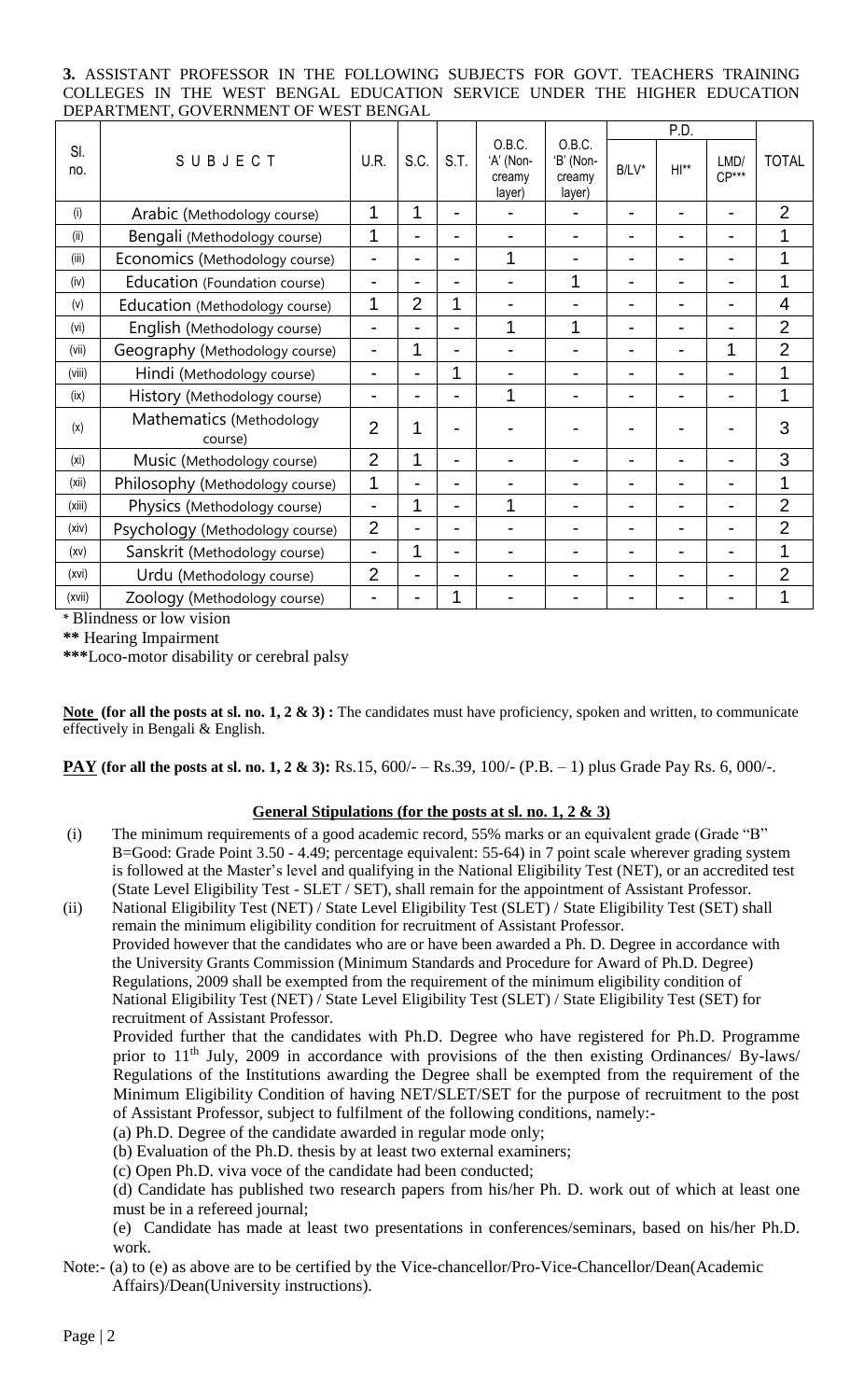## **3.** ASSISTANT PROFESSOR IN THE FOLLOWING SUBJECTS FOR GOVT. TEACHERS TRAINING COLLEGES IN THE WEST BENGAL EDUCATION SERVICE UNDER THE HIGHER EDUCATION DEPARTMENT, GOVERNMENT OF WEST BENGAL

|                   |                                                |                |                |                |                                         | O.B.C.<br>'B' (Non-<br>creamy<br>layer) | P.D.     |         |                 |                |
|-------------------|------------------------------------------------|----------------|----------------|----------------|-----------------------------------------|-----------------------------------------|----------|---------|-----------------|----------------|
| SI.<br>no.        | SUBJECT                                        | U.R.           | S.C.           | S.T.           | O.B.C.<br>'A' (Non-<br>creamy<br>layer) |                                         | $B/LV^*$ | $H ***$ | LMD/<br>$CP***$ | <b>TOTAL</b>   |
| (i)               | Arabic (Methodology course)                    | 1              | 1              | $\blacksquare$ |                                         |                                         |          |         |                 | $\overline{2}$ |
| (ii)              | Bengali (Methodology course)                   | 1              |                | -              |                                         |                                         |          |         |                 | 1              |
| (iii)             | Economics (Methodology course)                 |                |                | -              | 1                                       |                                         |          |         |                 | 1              |
| (iv)              | Education (Foundation course)                  |                |                | $\overline{a}$ |                                         | 1                                       |          |         |                 | $\mathbf 1$    |
| (v)               | Education (Methodology course)                 |                | $\overline{2}$ | 1              |                                         |                                         |          |         |                 | $\overline{4}$ |
| (vi)              | English (Methodology course)                   |                |                | L              | 1                                       | 1                                       |          |         |                 | $\overline{2}$ |
| (vii)             | Geography (Methodology course)                 |                | 1              | $\blacksquare$ |                                         |                                         |          |         | 1               | $\overline{2}$ |
| (viii)            | Hindi (Methodology course)                     | $\blacksquare$ |                | 1              |                                         |                                         |          |         |                 | 1              |
| (ix)              | History (Methodology course)                   |                |                | $\overline{a}$ | 1                                       |                                         |          |         |                 | 1              |
| (x)               | Mathematics (Methodology<br>course)            | $\overline{2}$ | 1              |                |                                         |                                         |          |         |                 | 3              |
| (x <sub>i</sub> ) | Music (Methodology course)                     | $\overline{2}$ | 1              |                |                                         |                                         |          |         |                 | 3              |
| (xii)             | 1<br>Philosophy (Methodology course)           |                |                | -              |                                         |                                         |          |         |                 | 1              |
| (xiii)            | Physics (Methodology course)<br>$\blacksquare$ |                | 1              | $\overline{a}$ | 1                                       |                                         |          |         |                 | $\overline{2}$ |
| (xiv)             | Psychology (Methodology course)                | $\overline{2}$ |                | $\blacksquare$ |                                         |                                         |          |         |                 | 2              |
| (xv)              | Sanskrit (Methodology course)                  | L,             | 1              | -              |                                         |                                         |          |         |                 | $\mathbf{1}$   |
| (xvi)             | Urdu (Methodology course)                      | $\overline{2}$ |                |                |                                         |                                         |          |         |                 | $\overline{2}$ |
| (xvii)            | Zoology (Methodology course)                   |                |                | 1              |                                         |                                         |          |         |                 | 1              |

**\*** Blindness or low vision

**\*\*** Hearing Impairment

**\*\*\***Loco-motor disability or cerebral palsy

**Note (for all the posts at sl. no. 1, 2 & 3) :** The candidates must have proficiency, spoken and written, to communicate effectively in Bengali & English.

**PAY** (for all the posts at sl. no. 1, 2 & 3): Rs.15,  $600/-$  - Rs.39,  $100/-$  (P.B. – 1) plus Grade Pay Rs. 6,  $000/-$ .

# **General Stipulations (for the posts at sl. no. 1, 2 & 3)**

(i) The minimum requirements of a good academic record, 55% marks or an equivalent grade (Grade "B" B=Good: Grade Point 3.50 - 4.49; percentage equivalent: 55-64) in 7 point scale wherever grading system is followed at the Master's level and qualifying in the National Eligibility Test (NET), or an accredited test (State Level Eligibility Test - SLET / SET), shall remain for the appointment of Assistant Professor.

(ii) National Eligibility Test (NET) / State Level Eligibility Test (SLET) / State Eligibility Test (SET) shall remain the minimum eligibility condition for recruitment of Assistant Professor. Provided however that the candidates who are or have been awarded a Ph. D. Degree in accordance with the University Grants Commission (Minimum Standards and Procedure for Award of Ph.D. Degree) Regulations, 2009 shall be exempted from the requirement of the minimum eligibility condition of National Eligibility Test (NET) / State Level Eligibility Test (SLET) / State Eligibility Test (SET) for recruitment of Assistant Professor.

Provided further that the candidates with Ph.D. Degree who have registered for Ph.D. Programme prior to 11<sup>th</sup> July, 2009 in accordance with provisions of the then existing Ordinances/ By-laws/ Regulations of the Institutions awarding the Degree shall be exempted from the requirement of the Minimum Eligibility Condition of having NET/SLET/SET for the purpose of recruitment to the post of Assistant Professor, subject to fulfilment of the following conditions, namely:-

- (a) Ph.D. Degree of the candidate awarded in regular mode only;
- (b) Evaluation of the Ph.D. thesis by at least two external examiners;
- (c) Open Ph.D. viva voce of the candidate had been conducted;

(d) Candidate has published two research papers from his/her Ph. D. work out of which at least one must be in a refereed journal;

(e) Candidate has made at least two presentations in conferences/seminars, based on his/her Ph.D. work.

Note:- (a) to (e) as above are to be certified by the Vice-chancellor/Pro-Vice-Chancellor/Dean(Academic Affairs)/Dean(University instructions).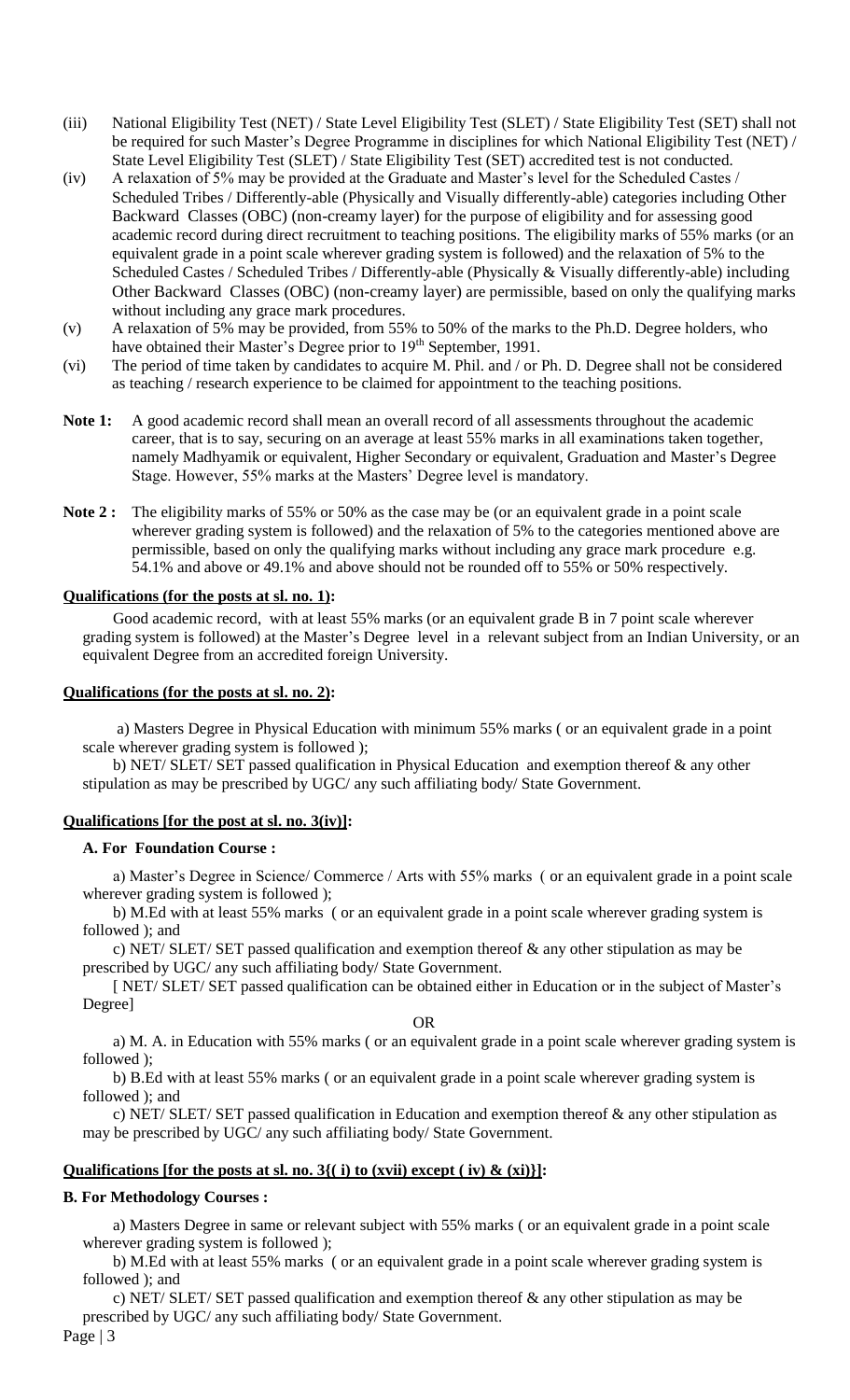- (iii) National Eligibility Test (NET) / State Level Eligibility Test (SLET) / State Eligibility Test (SET) shall not be required for such Master's Degree Programme in disciplines for which National Eligibility Test (NET) / State Level Eligibility Test (SLET) / State Eligibility Test (SET) accredited test is not conducted.
- (iv) A relaxation of 5% may be provided at the Graduate and Master's level for the Scheduled Castes / Scheduled Tribes / Differently-able (Physically and Visually differently-able) categories including Other Backward Classes (OBC) (non-creamy layer) for the purpose of eligibility and for assessing good academic record during direct recruitment to teaching positions. The eligibility marks of 55% marks (or an equivalent grade in a point scale wherever grading system is followed) and the relaxation of 5% to the Scheduled Castes / Scheduled Tribes / Differently-able (Physically & Visually differently-able) including Other Backward Classes (OBC) (non-creamy layer) are permissible, based on only the qualifying marks without including any grace mark procedures.
- (v) A relaxation of 5% may be provided, from 55% to 50% of the marks to the Ph.D. Degree holders, who have obtained their Master's Degree prior to 19<sup>th</sup> September, 1991.
- (vi) The period of time taken by candidates to acquire M. Phil. and / or Ph. D. Degree shall not be considered as teaching / research experience to be claimed for appointment to the teaching positions.
- Note 1: A good academic record shall mean an overall record of all assessments throughout the academic career, that is to say, securing on an average at least 55% marks in all examinations taken together, namely Madhyamik or equivalent, Higher Secondary or equivalent, Graduation and Master's Degree Stage. However, 55% marks at the Masters' Degree level is mandatory.
- **Note 2 :** The eligibility marks of 55% or 50% as the case may be (or an equivalent grade in a point scale wherever grading system is followed) and the relaxation of 5% to the categories mentioned above are permissible, based on only the qualifying marks without including any grace mark procedure e.g. 54.1% and above or 49.1% and above should not be rounded off to 55% or 50% respectively.

# **Qualifications (for the posts at sl. no. 1):**

Good academic record, with at least 55% marks (or an equivalent grade B in 7 point scale wherever grading system is followed) at the Master's Degree level in a relevant subject from an Indian University, or an equivalent Degree from an accredited foreign University.

#### **Qualifications (for the posts at sl. no. 2):**

a) Masters Degree in Physical Education with minimum 55% marks ( or an equivalent grade in a point scale wherever grading system is followed );

b) NET/ SLET/ SET passed qualification in Physical Education and exemption thereof & any other stipulation as may be prescribed by UGC/ any such affiliating body/ State Government.

#### **Qualifications [for the post at sl. no. 3(iv)]:**

#### **A. For Foundation Course :**

a) Master's Degree in Science/ Commerce / Arts with 55% marks ( or an equivalent grade in a point scale wherever grading system is followed );

b) M.Ed with at least 55% marks ( or an equivalent grade in a point scale wherever grading system is followed ); and

c) NET/ SLET/ SET passed qualification and exemption thereof & any other stipulation as may be prescribed by UGC/ any such affiliating body/ State Government.

[ NET/ SLET/ SET passed qualification can be obtained either in Education or in the subject of Master's Degree]

OR

a) M. A. in Education with 55% marks ( or an equivalent grade in a point scale wherever grading system is followed );

b) B.Ed with at least 55% marks ( or an equivalent grade in a point scale wherever grading system is followed ); and

c) NET/ SLET/ SET passed qualification in Education and exemption thereof & any other stipulation as may be prescribed by UGC/ any such affiliating body/ State Government.

## **Qualifications [for the posts at sl. no. 3{( i) to (xvii) except ( iv) & (xi)}]:**

#### **B. For Methodology Courses :**

a) Masters Degree in same or relevant subject with 55% marks ( or an equivalent grade in a point scale wherever grading system is followed );

b) M.Ed with at least 55% marks ( or an equivalent grade in a point scale wherever grading system is followed ); and

c) NET/ SLET/ SET passed qualification and exemption thereof  $\&$  any other stipulation as may be prescribed by UGC/ any such affiliating body/ State Government.

Page | 3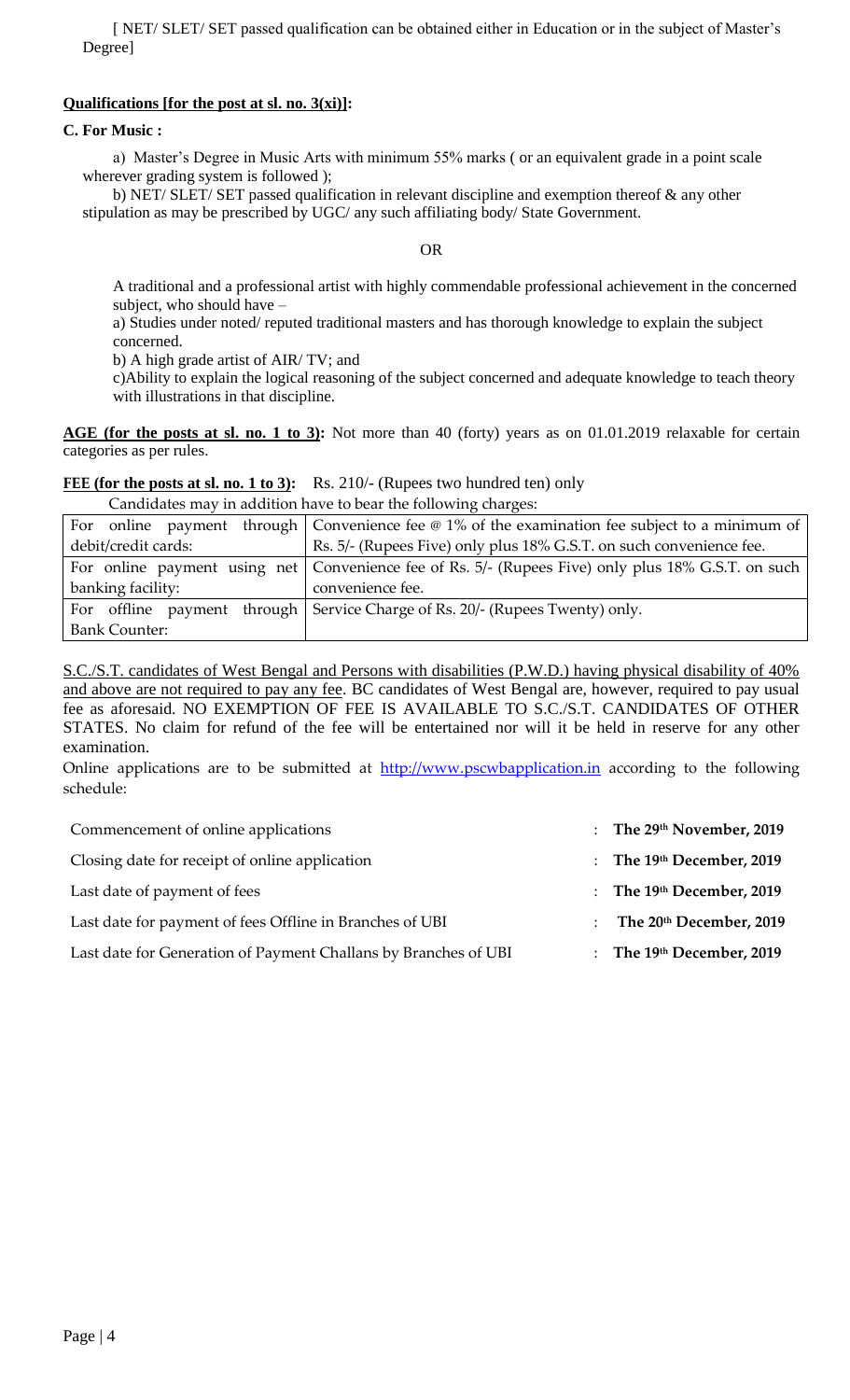[ NET/ SLET/ SET passed qualification can be obtained either in Education or in the subject of Master's Degree]

# **Qualifications [for the post at sl. no. 3(xi)]:**

# **C. For Music :**

a) Master's Degree in Music Arts with minimum 55% marks ( or an equivalent grade in a point scale wherever grading system is followed );

b) NET/ SLET/ SET passed qualification in relevant discipline and exemption thereof & any other stipulation as may be prescribed by UGC/ any such affiliating body/ State Government.

# OR

A traditional and a professional artist with highly commendable professional achievement in the concerned subject, who should have –

a) Studies under noted/ reputed traditional masters and has thorough knowledge to explain the subject concerned.

b) A high grade artist of AIR/ TV; and

c)Ability to explain the logical reasoning of the subject concerned and adequate knowledge to teach theory with illustrations in that discipline.

AGE (for the posts at sl. no. 1 to 3): Not more than 40 (forty) years as on 01.01.2019 relaxable for certain categories as per rules.

## FEE (for the posts at sl. no. 1 to 3): Rs. 210/- (Rupees two hundred ten) only

Candidates may in addition have to bear the following charges:

|                      | For online payment through Convenience fee $\omega$ 1% of the examination fee subject to a minimum of |  |  |  |
|----------------------|-------------------------------------------------------------------------------------------------------|--|--|--|
| debit/credit cards:  | Rs. 5/- (Rupees Five) only plus 18% G.S.T. on such convenience fee.                                   |  |  |  |
|                      | For online payment using net   Convenience fee of Rs. 5/- (Rupees Five) only plus 18% G.S.T. on such  |  |  |  |
| banking facility:    | convenience fee.                                                                                      |  |  |  |
|                      | For offline payment through Service Charge of Rs. 20/- (Rupees Twenty) only.                          |  |  |  |
| <b>Bank Counter:</b> |                                                                                                       |  |  |  |

S.C./S.T. candidates of West Bengal and Persons with disabilities (P.W.D.) having physical disability of 40% and above are not required to pay any fee. BC candidates of West Bengal are, however, required to pay usual fee as aforesaid. NO EXEMPTION OF FEE IS AVAILABLE TO S.C./S.T. CANDIDATES OF OTHER STATES. No claim for refund of the fee will be entertained nor will it be held in reserve for any other examination.

Online applications are to be submitted at http://www.pscwbapplication.in according to the following schedule:

| Commencement of online applications                             | : The $29th$ November, 2019 |
|-----------------------------------------------------------------|-----------------------------|
| Closing date for receipt of online application                  | : The $19th$ December, 2019 |
| Last date of payment of fees                                    | : The $19th$ December, 2019 |
| Last date for payment of fees Offline in Branches of UBI        | : The $20th$ December, 2019 |
| Last date for Generation of Payment Challans by Branches of UBI | : The $19th$ December, 2019 |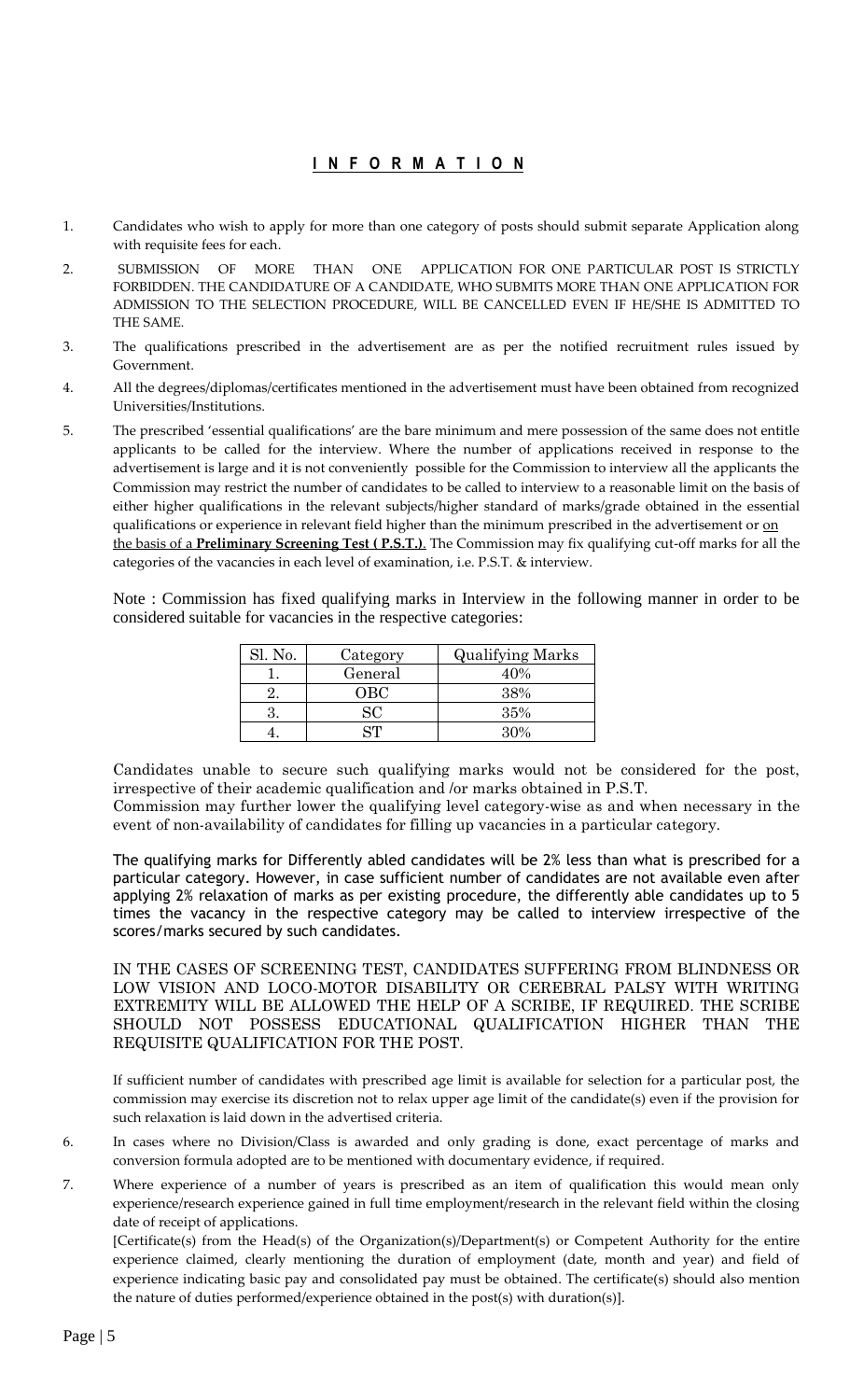# **I N F O R M A T I O N**

- 1. Candidates who wish to apply for more than one category of posts should submit separate Application along with requisite fees for each.
- 2. SUBMISSION OF MORE THAN ONE APPLICATION FOR ONE PARTICULAR POST IS STRICTLY FORBIDDEN. THE CANDIDATURE OF A CANDIDATE, WHO SUBMITS MORE THAN ONE APPLICATION FOR ADMISSION TO THE SELECTION PROCEDURE, WILL BE CANCELLED EVEN IF HE/SHE IS ADMITTED TO THE SAME.
- 3. The qualifications prescribed in the advertisement are as per the notified recruitment rules issued by Government.
- 4. All the degrees/diplomas/certificates mentioned in the advertisement must have been obtained from recognized Universities/Institutions.
- 5. The prescribed 'essential qualifications' are the bare minimum and mere possession of the same does not entitle applicants to be called for the interview. Where the number of applications received in response to the advertisement is large and it is not conveniently possible for the Commission to interview all the applicants the Commission may restrict the number of candidates to be called to interview to a reasonable limit on the basis of either higher qualifications in the relevant subjects/higher standard of marks/grade obtained in the essential qualifications or experience in relevant field higher than the minimum prescribed in the advertisement or on the basis of a **Preliminary Screening Test ( P.S.T.)**. The Commission may fix qualifying cut-off marks for all the categories of the vacancies in each level of examination, i.e. P.S.T. & interview.

Note : Commission has fixed qualifying marks in Interview in the following manner in order to be considered suitable for vacancies in the respective categories:

| Sl. No. | Category | <b>Qualifying Marks</b> |
|---------|----------|-------------------------|
|         | General  | 40%                     |
|         | OBC      | 38%                     |
|         | SC       | 35%                     |
|         | 74       | 30%                     |

Candidates unable to secure such qualifying marks would not be considered for the post, irrespective of their academic qualification and /or marks obtained in P.S.T.

Commission may further lower the qualifying level category-wise as and when necessary in the event of non-availability of candidates for filling up vacancies in a particular category.

The qualifying marks for Differently abled candidates will be 2% less than what is prescribed for a particular category. However, in case sufficient number of candidates are not available even after applying 2% relaxation of marks as per existing procedure, the differently able candidates up to 5 times the vacancy in the respective category may be called to interview irrespective of the scores/marks secured by such candidates.

IN THE CASES OF SCREENING TEST, CANDIDATES SUFFERING FROM BLINDNESS OR LOW VISION AND LOCO-MOTOR DISABILITY OR CEREBRAL PALSY WITH WRITING EXTREMITY WILL BE ALLOWED THE HELP OF A SCRIBE, IF REQUIRED. THE SCRIBE SHOULD NOT POSSESS EDUCATIONAL QUALIFICATION HIGHER THAN THE REQUISITE QUALIFICATION FOR THE POST.

If sufficient number of candidates with prescribed age limit is available for selection for a particular post, the commission may exercise its discretion not to relax upper age limit of the candidate(s) even if the provision for such relaxation is laid down in the advertised criteria.

- 6. In cases where no Division/Class is awarded and only grading is done, exact percentage of marks and conversion formula adopted are to be mentioned with documentary evidence, if required.
- 7. Where experience of a number of years is prescribed as an item of qualification this would mean only experience/research experience gained in full time employment/research in the relevant field within the closing date of receipt of applications.

[Certificate(s) from the Head(s) of the Organization(s)/Department(s) or Competent Authority for the entire experience claimed, clearly mentioning the duration of employment (date, month and year) and field of experience indicating basic pay and consolidated pay must be obtained. The certificate(s) should also mention the nature of duties performed/experience obtained in the post(s) with duration(s)].